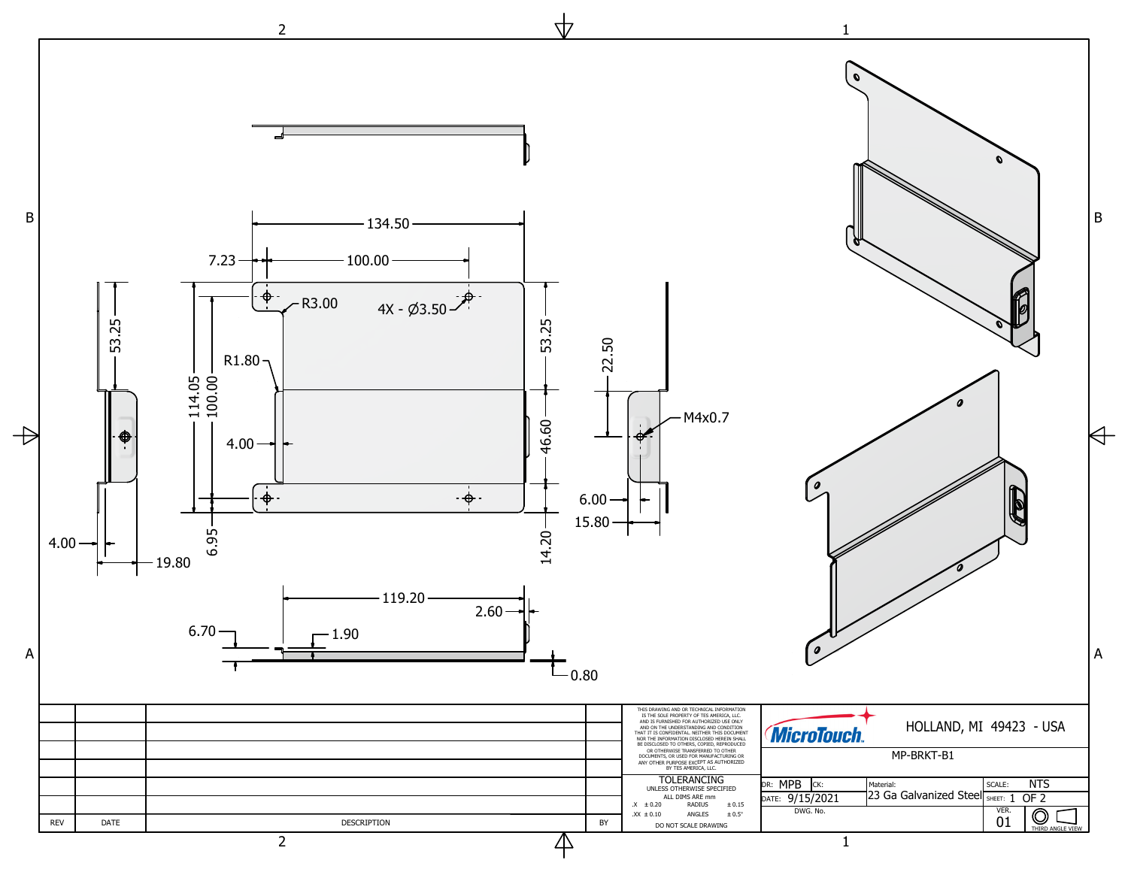